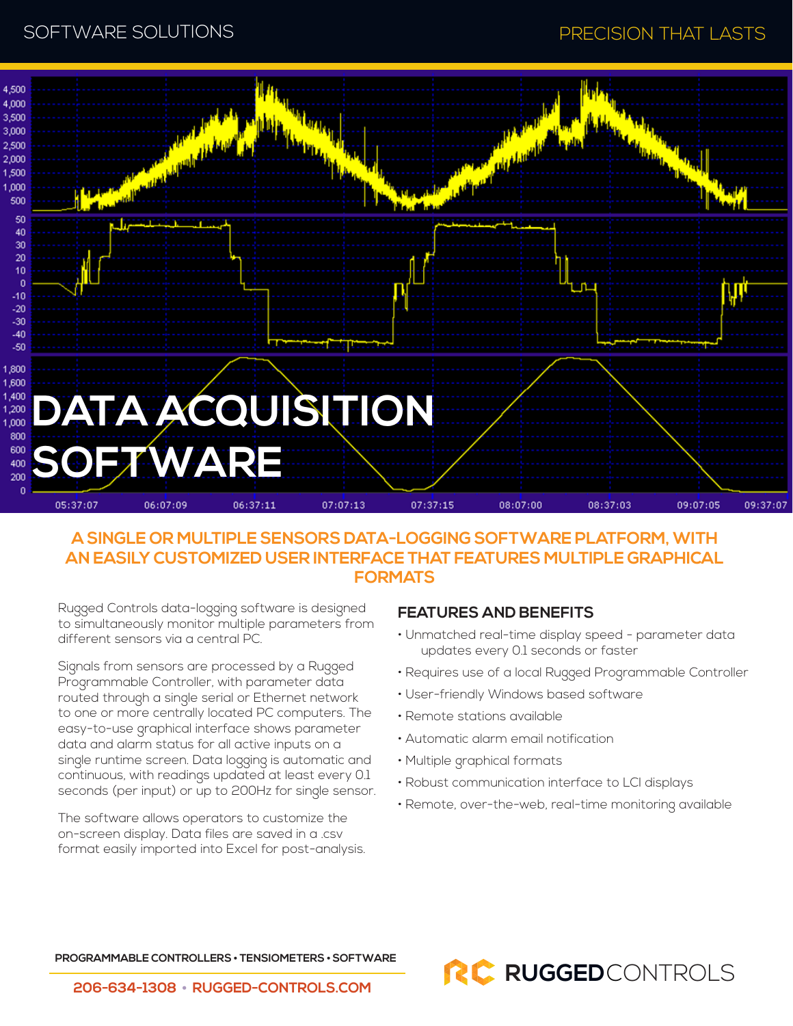

## **A SINGLE OR MULTIPLE SENSORS DATA-LOGGING SOFTWARE PLATFORM, WITH AN EASILY CUSTOMIZED USER INTERFACE THAT FEATURES MULTIPLE GRAPHICAL FORMATS**

Rugged Controls data-logging software is designed to simultaneously monitor multiple parameters from different sensors via a central PC.

Signals from sensors are processed by a Rugged Programmable Controller, with parameter data routed through a single serial or Ethernet network to one or more centrally located PC computers. The easy-to-use graphical interface shows parameter data and alarm status for all active inputs on a single runtime screen. Data logging is automatic and continuous, with readings updated at least every 0.1 seconds (per input) or up to 200Hz for single sensor.

The software allows operators to customize the on-screen display. Data files are saved in a .csv format easily imported into Excel for post-analysis.

### **FEATURES AND BENEFITS**

- Unmatched real-time display speed parameter data updates every 0.1 seconds or faster
- Requires use of a local Rugged Programmable Controller
- User-friendly Windows based software
- Remote stations available
- Automatic alarm email notification
- Multiple graphical formats
- Robust communication interface to LCI displays
- Remote, over-the-web, real-time monitoring available

**PROGRAMMABLE CONTROLLERS • TENSIOMETERS • SOFTWARE**